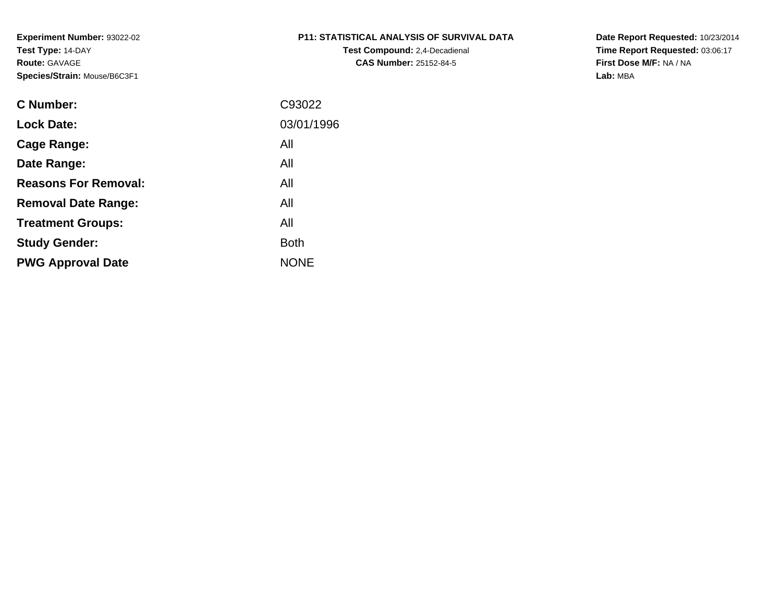# **P11: STATISTICAL ANALYSIS OF SURVIVAL DATA**

**Test Compound:** 2,4-Decadienal **CAS Number:** 25152-84-5

**Date Report Requested:** 10/23/2014 **Time Report Requested:** 03:06:17**First Dose M/F:** NA / NA**Lab:** MBA

| C93022      |
|-------------|
| 03/01/1996  |
| All         |
| All         |
| All         |
| All         |
| All         |
| <b>Both</b> |
| <b>NONE</b> |
|             |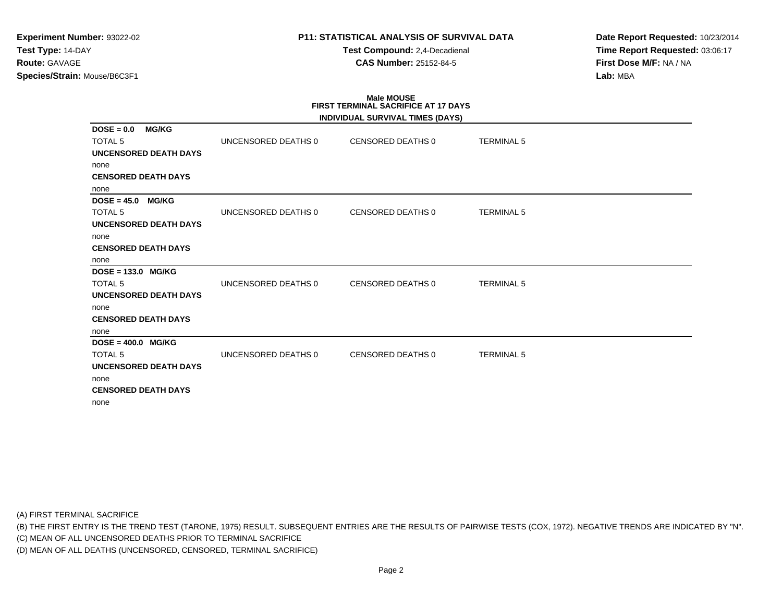## **P11: STATISTICAL ANALYSIS OF SURVIVAL DATA**

**Test Compound:** 2,4-Decadienal **CAS Number:** 25152-84-5

**Date Report Requested:** 10/23/2014**Time Report Requested:** 03:06:17**First Dose M/F:** NA / NA**Lab:** MBA

# **Male MOUSE FIRST TERMINAL SACRIFICE AT 17 DAYS**

|                               |                     | INDIVIDUAL SURVIVAL TIMES (DAYS) |                   |
|-------------------------------|---------------------|----------------------------------|-------------------|
| <b>MG/KG</b><br>$DOSE = 0.0$  |                     |                                  |                   |
| <b>TOTAL 5</b>                | UNCENSORED DEATHS 0 | CENSORED DEATHS 0                | <b>TERMINAL 5</b> |
| <b>UNCENSORED DEATH DAYS</b>  |                     |                                  |                   |
| none                          |                     |                                  |                   |
| <b>CENSORED DEATH DAYS</b>    |                     |                                  |                   |
| none                          |                     |                                  |                   |
| $DOSE = 45.0$<br><b>MG/KG</b> |                     |                                  |                   |
| <b>TOTAL 5</b>                | UNCENSORED DEATHS 0 | CENSORED DEATHS 0                | <b>TERMINAL 5</b> |
| <b>UNCENSORED DEATH DAYS</b>  |                     |                                  |                   |
| none                          |                     |                                  |                   |
| <b>CENSORED DEATH DAYS</b>    |                     |                                  |                   |
| none                          |                     |                                  |                   |
| $DOSE = 133.0$ MG/KG          |                     |                                  |                   |
| <b>TOTAL 5</b>                | UNCENSORED DEATHS 0 | CENSORED DEATHS 0                | <b>TERMINAL 5</b> |
| UNCENSORED DEATH DAYS         |                     |                                  |                   |
| none                          |                     |                                  |                   |
| <b>CENSORED DEATH DAYS</b>    |                     |                                  |                   |
| none                          |                     |                                  |                   |
| $DOSE = 400.0$ MG/KG          |                     |                                  |                   |
| <b>TOTAL 5</b>                | UNCENSORED DEATHS 0 | <b>CENSORED DEATHS 0</b>         | <b>TERMINAL 5</b> |
| <b>UNCENSORED DEATH DAYS</b>  |                     |                                  |                   |
| none                          |                     |                                  |                   |
| <b>CENSORED DEATH DAYS</b>    |                     |                                  |                   |
| none                          |                     |                                  |                   |

(A) FIRST TERMINAL SACRIFICE

(B) THE FIRST ENTRY IS THE TREND TEST (TARONE, 1975) RESULT. SUBSEQUENT ENTRIES ARE THE RESULTS OF PAIRWISE TESTS (COX, 1972). NEGATIVE TRENDS ARE INDICATED BY "N".

(C) MEAN OF ALL UNCENSORED DEATHS PRIOR TO TERMINAL SACRIFICE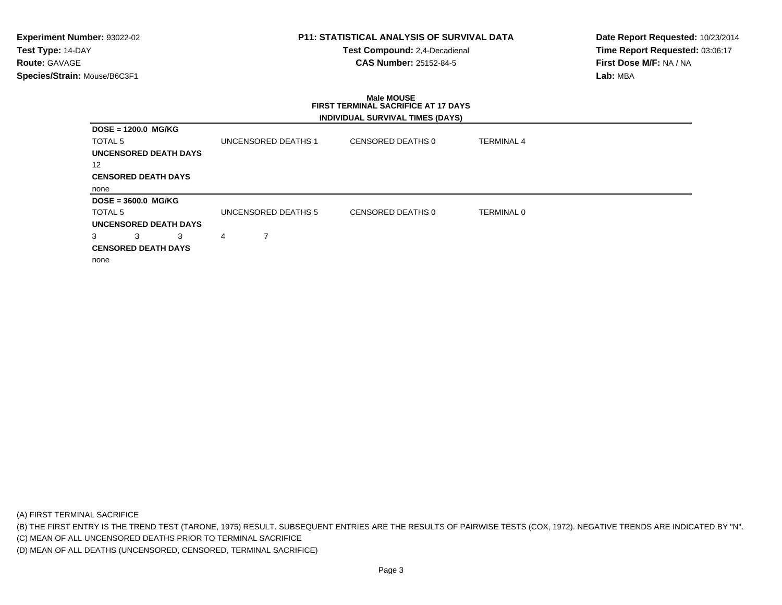## **P11: STATISTICAL ANALYSIS OF SURVIVAL DATA**

**Test Compound:** 2,4-Decadienal **CAS Number:** 25152-84-5

**Date Report Requested:** 10/23/2014**Time Report Requested:** 03:06:17**First Dose M/F:** NA / NA**Lab:** MBA

# **Male MOUSE FIRST TERMINAL SACRIFICE AT 17 DAYSINDIVIDUAL SURVIVAL TIMES (DAYS)**

| $DOSE = 1200.0$ MG/KG      |                            |   |                     |                   |                   |  |
|----------------------------|----------------------------|---|---------------------|-------------------|-------------------|--|
| TOTAL 5                    |                            |   | UNCENSORED DEATHS 1 | CENSORED DEATHS 0 | <b>TERMINAL 4</b> |  |
| UNCENSORED DEATH DAYS      |                            |   |                     |                   |                   |  |
| 12                         |                            |   |                     |                   |                   |  |
| <b>CENSORED DEATH DAYS</b> |                            |   |                     |                   |                   |  |
| none                       |                            |   |                     |                   |                   |  |
| $DOSE = 3600.0$ MG/KG      |                            |   |                     |                   |                   |  |
| TOTAL 5                    |                            |   | UNCENSORED DEATHS 5 | CENSORED DEATHS 0 | <b>TERMINAL 0</b> |  |
| UNCENSORED DEATH DAYS      |                            |   |                     |                   |                   |  |
| 3<br>3                     | 3                          | 4 |                     |                   |                   |  |
|                            |                            |   |                     |                   |                   |  |
|                            | <b>CENSORED DEATH DAYS</b> |   |                     |                   |                   |  |

(A) FIRST TERMINAL SACRIFICE

(B) THE FIRST ENTRY IS THE TREND TEST (TARONE, 1975) RESULT. SUBSEQUENT ENTRIES ARE THE RESULTS OF PAIRWISE TESTS (COX, 1972). NEGATIVE TRENDS ARE INDICATED BY "N".

(C) MEAN OF ALL UNCENSORED DEATHS PRIOR TO TERMINAL SACRIFICE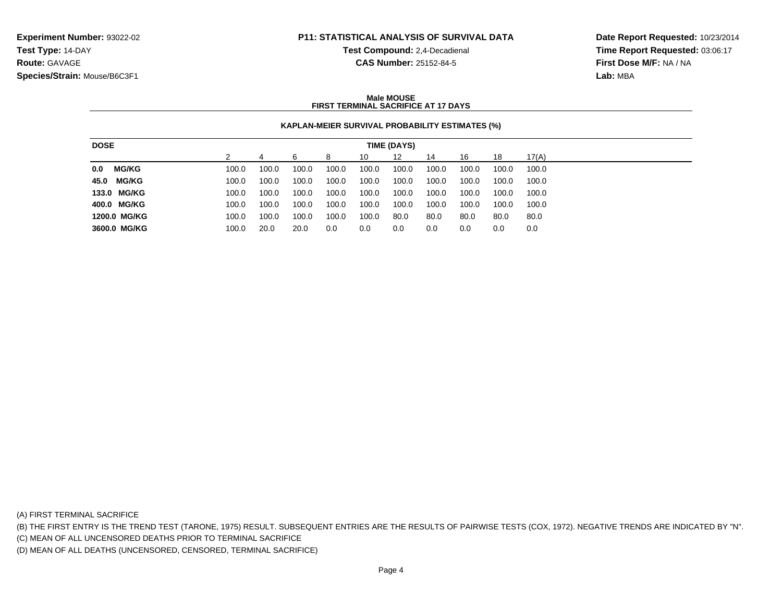## **P11: STATISTICAL ANALYSIS OF SURVIVAL DATA**

**Test Compound:** 2,4-Decadienal **CAS Number:** 25152-84-5

**Date Report Requested:** 10/23/2014**Time Report Requested:** 03:06:17**First Dose M/F:** NA / NA**Lab:** MBA

### **Male MOUSEFIRST TERMINAL SACRIFICE AT 17 DAYS**

### **KAPLAN-MEIER SURVIVAL PROBABILITY ESTIMATES (%)**

| <b>DOSE</b>         | TIME (DAYS) |       |       |       |       |       |       |       |       |       |
|---------------------|-------------|-------|-------|-------|-------|-------|-------|-------|-------|-------|
|                     |             |       | 6     | 8     | 10    | 12    | 14    | 16    | 18    | 17(A) |
| <b>MG/KG</b><br>0.0 | 100.0       | 100.0 | 100.0 | 100.0 | 100.0 | 100.0 | 100.0 | 100.0 | 100.0 | 100.0 |
| 45.0 MG/KG          | 100.0       | 100.0 | 100.0 | 100.0 | 100.0 | 100.0 | 100.0 | 100.0 | 100.0 | 100.0 |
| 133.0 MG/KG         | 100.0       | 100.0 | 100.0 | 100.0 | 100.0 | 100.0 | 100.0 | 100.0 | 100.0 | 100.0 |
| 400.0 MG/KG         | 100.0       | 100.0 | 100.0 | 100.0 | 100.0 | 100.0 | 100.0 | 100.0 | 100.0 | 100.0 |
| 1200.0 MG/KG        | 100.0       | 100.0 | 100.0 | 100.0 | 100.0 | 80.0  | 80.0  | 80.0  | 80.0  | 80.0  |
| 3600.0 MG/KG        | 100.0       | 20.0  | 20.0  | 0.0   | 0.0   | 0.0   | 0.0   | 0.0   | 0.0   | 0.0   |

(A) FIRST TERMINAL SACRIFICE

(B) THE FIRST ENTRY IS THE TREND TEST (TARONE, 1975) RESULT. SUBSEQUENT ENTRIES ARE THE RESULTS OF PAIRWISE TESTS (COX, 1972). NEGATIVE TRENDS ARE INDICATED BY "N".

(C) MEAN OF ALL UNCENSORED DEATHS PRIOR TO TERMINAL SACRIFICE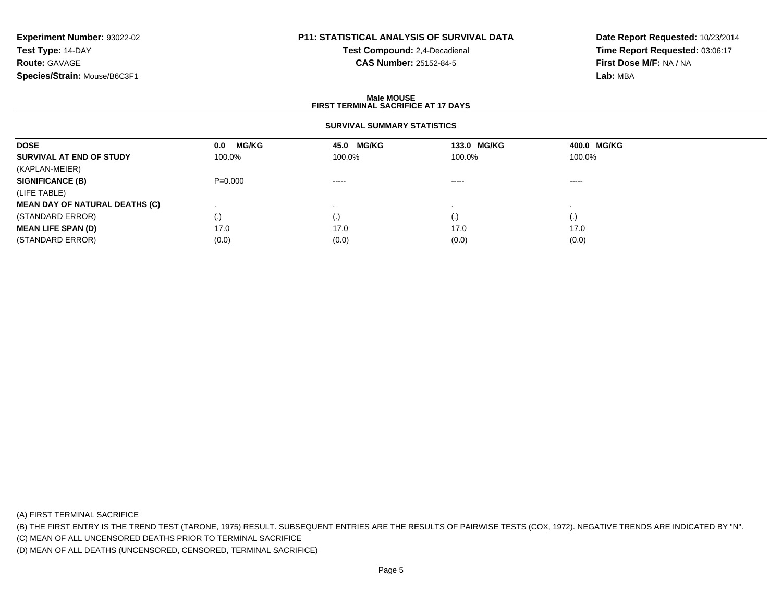# **P11: STATISTICAL ANALYSIS OF SURVIVAL DATA**

**Test Compound:** 2,4-Decadienal **CAS Number:** 25152-84-5

**Date Report Requested:** 10/23/2014**Time Report Requested:** 03:06:17**First Dose M/F:** NA / NA**Lab:** MBA

#### **Male MOUSEFIRST TERMINAL SACRIFICE AT 17 DAYS**

### **SURVIVAL SUMMARY STATISTICS**

| <b>DOSE</b>                           | <b>MG/KG</b><br>0.0    | 45.0 MG/KG  | 133.0 MG/KG | 400.0 MG/KG |  |
|---------------------------------------|------------------------|-------------|-------------|-------------|--|
| SURVIVAL AT END OF STUDY              | 100.0%                 | 100.0%      | 100.0%      | 100.0%      |  |
| (KAPLAN-MEIER)                        |                        |             |             |             |  |
| <b>SIGNIFICANCE (B)</b>               | $P = 0.000$            | $- - - - -$ | $\cdots$    | -----       |  |
| (LIFE TABLE)                          |                        |             |             |             |  |
| <b>MEAN DAY OF NATURAL DEATHS (C)</b> |                        |             |             |             |  |
| (STANDARD ERROR)                      | $\left( \cdot \right)$ | (.)         | $\cdot$     |             |  |
| <b>MEAN LIFE SPAN (D)</b>             | 17.0                   | 17.0        | 17.0        | 17.0        |  |
| (STANDARD ERROR)                      | (0.0)                  | (0.0)       | (0.0)       | (0.0)       |  |

(A) FIRST TERMINAL SACRIFICE

(B) THE FIRST ENTRY IS THE TREND TEST (TARONE, 1975) RESULT. SUBSEQUENT ENTRIES ARE THE RESULTS OF PAIRWISE TESTS (COX, 1972). NEGATIVE TRENDS ARE INDICATED BY "N".

(C) MEAN OF ALL UNCENSORED DEATHS PRIOR TO TERMINAL SACRIFICE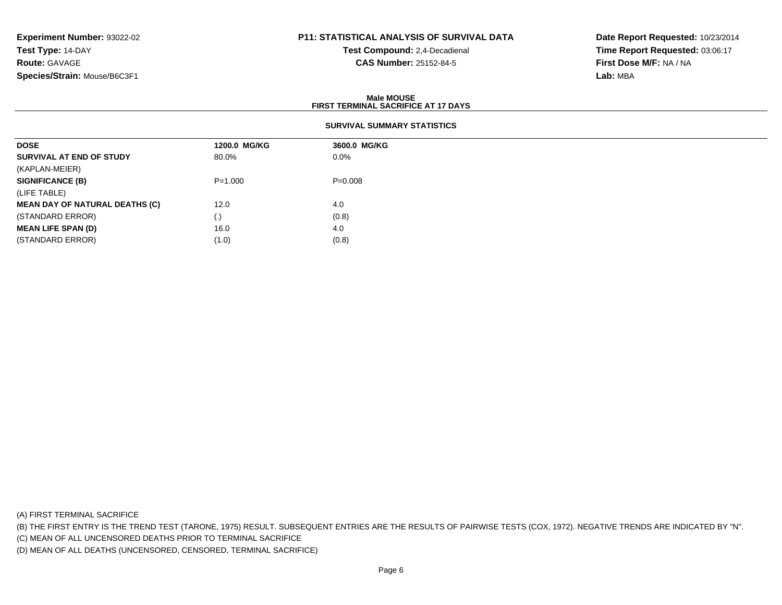# **P11: STATISTICAL ANALYSIS OF SURVIVAL DATA**

**Test Compound:** 2,4-Decadienal **CAS Number:** 25152-84-5

**Date Report Requested:** 10/23/2014**Time Report Requested:** 03:06:17**First Dose M/F:** NA / NA**Lab:** MBA

### **Male MOUSEFIRST TERMINAL SACRIFICE AT 17 DAYS**

| <b>DOSE</b>                           | 1200.0 MG/KG | 3600.0 MG/KG |  |
|---------------------------------------|--------------|--------------|--|
| SURVIVAL AT END OF STUDY              | 80.0%        | $0.0\%$      |  |
| (KAPLAN-MEIER)                        |              |              |  |
| <b>SIGNIFICANCE (B)</b>               | $P = 1.000$  | $P = 0.008$  |  |
| (LIFE TABLE)                          |              |              |  |
| <b>MEAN DAY OF NATURAL DEATHS (C)</b> | 12.0         | 4.0          |  |
| (STANDARD ERROR)                      | (.)          | (0.8)        |  |
| <b>MEAN LIFE SPAN (D)</b>             | 16.0         | 4.0          |  |
| (STANDARD ERROR)                      | (1.0)        | (0.8)        |  |

(A) FIRST TERMINAL SACRIFICE

(B) THE FIRST ENTRY IS THE TREND TEST (TARONE, 1975) RESULT. SUBSEQUENT ENTRIES ARE THE RESULTS OF PAIRWISE TESTS (COX, 1972). NEGATIVE TRENDS ARE INDICATED BY "N".

(C) MEAN OF ALL UNCENSORED DEATHS PRIOR TO TERMINAL SACRIFICE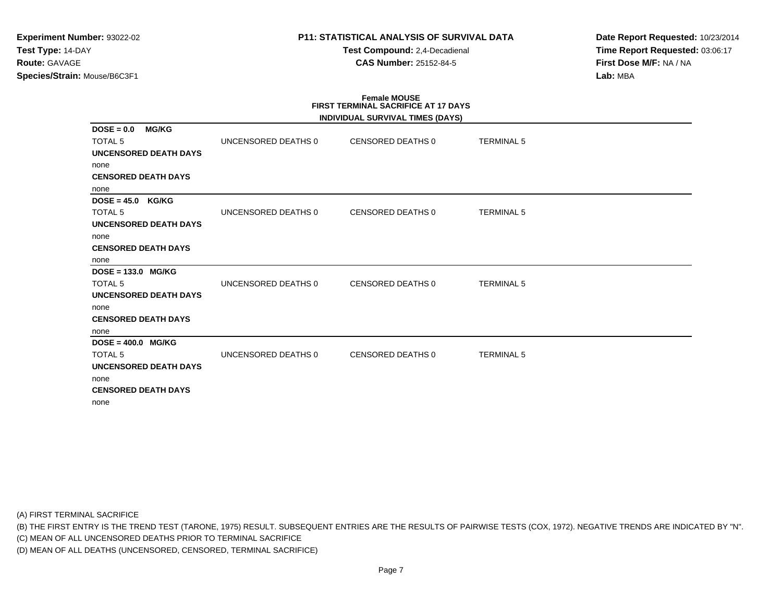## **P11: STATISTICAL ANALYSIS OF SURVIVAL DATA**

**Test Compound:** 2,4-Decadienal **CAS Number:** 25152-84-5

**Date Report Requested:** 10/23/2014**Time Report Requested:** 03:06:17**First Dose M/F:** NA / NA**Lab:** MBA

# **Female MOUSE FIRST TERMINAL SACRIFICE AT 17 DAYS**

|                              |                     | INDIVIDUAL SURVIVAL TIMES (DAYS) |                   |
|------------------------------|---------------------|----------------------------------|-------------------|
| <b>MG/KG</b><br>$DOSE = 0.0$ |                     |                                  |                   |
| <b>TOTAL 5</b>               | UNCENSORED DEATHS 0 | CENSORED DEATHS 0                | <b>TERMINAL 5</b> |
| <b>UNCENSORED DEATH DAYS</b> |                     |                                  |                   |
| none                         |                     |                                  |                   |
| <b>CENSORED DEATH DAYS</b>   |                     |                                  |                   |
| none                         |                     |                                  |                   |
| $DOSE = 45.0$ KG/KG          |                     |                                  |                   |
| <b>TOTAL 5</b>               | UNCENSORED DEATHS 0 | CENSORED DEATHS 0                | <b>TERMINAL 5</b> |
| <b>UNCENSORED DEATH DAYS</b> |                     |                                  |                   |
| none                         |                     |                                  |                   |
| <b>CENSORED DEATH DAYS</b>   |                     |                                  |                   |
| none                         |                     |                                  |                   |
| DOSE = 133.0 MG/KG           |                     |                                  |                   |
| <b>TOTAL 5</b>               | UNCENSORED DEATHS 0 | <b>CENSORED DEATHS 0</b>         | <b>TERMINAL 5</b> |
| <b>UNCENSORED DEATH DAYS</b> |                     |                                  |                   |
| none                         |                     |                                  |                   |
| <b>CENSORED DEATH DAYS</b>   |                     |                                  |                   |
| none                         |                     |                                  |                   |
| $DOSE = 400.0$ MG/KG         |                     |                                  |                   |
| <b>TOTAL 5</b>               | UNCENSORED DEATHS 0 | <b>CENSORED DEATHS 0</b>         | <b>TERMINAL 5</b> |
| <b>UNCENSORED DEATH DAYS</b> |                     |                                  |                   |
| none                         |                     |                                  |                   |
| <b>CENSORED DEATH DAYS</b>   |                     |                                  |                   |
| none                         |                     |                                  |                   |

(A) FIRST TERMINAL SACRIFICE

(B) THE FIRST ENTRY IS THE TREND TEST (TARONE, 1975) RESULT. SUBSEQUENT ENTRIES ARE THE RESULTS OF PAIRWISE TESTS (COX, 1972). NEGATIVE TRENDS ARE INDICATED BY "N".

(C) MEAN OF ALL UNCENSORED DEATHS PRIOR TO TERMINAL SACRIFICE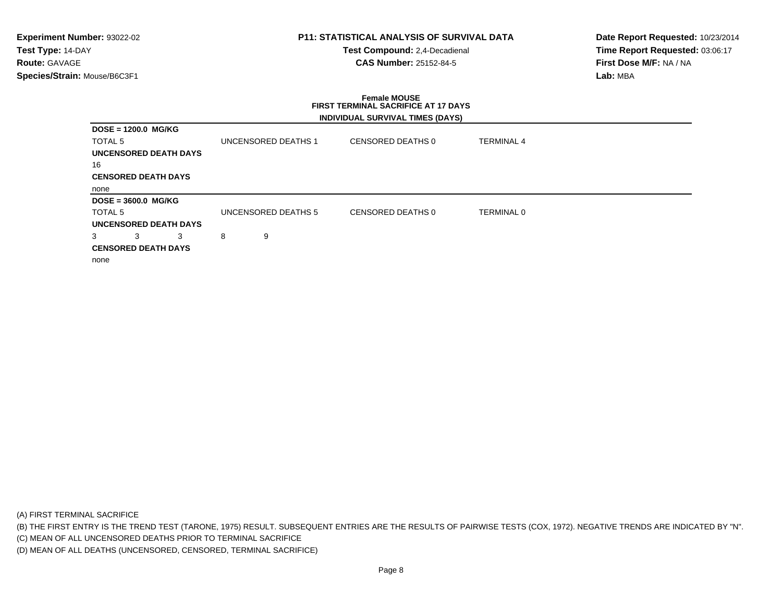## **P11: STATISTICAL ANALYSIS OF SURVIVAL DATA**

**Test Compound:** 2,4-Decadienal **CAS Number:** 25152-84-5

**Date Report Requested:** 10/23/2014**Time Report Requested:** 03:06:17**First Dose M/F:** NA / NA**Lab:** MBA

# **Female MOUSE FIRST TERMINAL SACRIFICE AT 17 DAYSINDIVIDUAL SURVIVAL TIMES (DAYS)**

| $DOSE = 1200.0$ MG/KG        |                     |                   |                   |
|------------------------------|---------------------|-------------------|-------------------|
|                              |                     |                   |                   |
| TOTAL <sub>5</sub>           | UNCENSORED DEATHS 1 | CENSORED DEATHS 0 | <b>TERMINAL 4</b> |
| <b>UNCENSORED DEATH DAYS</b> |                     |                   |                   |
| 16                           |                     |                   |                   |
| <b>CENSORED DEATH DAYS</b>   |                     |                   |                   |
| none                         |                     |                   |                   |
| $DOSE = 3600.0$ MG/KG        |                     |                   |                   |
| TOTAL <sub>5</sub>           | UNCENSORED DEATHS 5 | CENSORED DEATHS 0 | <b>TERMINAL 0</b> |
| <b>UNCENSORED DEATH DAYS</b> |                     |                   |                   |
| 3<br>3<br>3                  | 8<br>9              |                   |                   |
| <b>CENSORED DEATH DAYS</b>   |                     |                   |                   |
| none                         |                     |                   |                   |

(A) FIRST TERMINAL SACRIFICE

(B) THE FIRST ENTRY IS THE TREND TEST (TARONE, 1975) RESULT. SUBSEQUENT ENTRIES ARE THE RESULTS OF PAIRWISE TESTS (COX, 1972). NEGATIVE TRENDS ARE INDICATED BY "N".

(C) MEAN OF ALL UNCENSORED DEATHS PRIOR TO TERMINAL SACRIFICE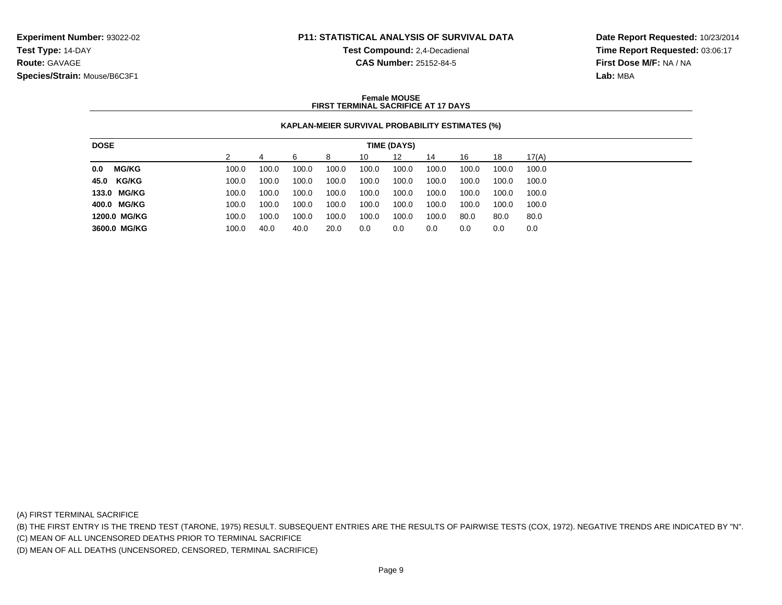### **P11: STATISTICAL ANALYSIS OF SURVIVAL DATA**

**Test Compound:** 2,4-Decadienal **CAS Number:** 25152-84-5

**Date Report Requested:** 10/23/2014**Time Report Requested:** 03:06:17**First Dose M/F:** NA / NA**Lab:** MBA

### **Female MOUSEFIRST TERMINAL SACRIFICE AT 17 DAYS**

### **KAPLAN-MEIER SURVIVAL PROBABILITY ESTIMATES (%)**

| <b>DOSE</b> |              | TIME (DAYS) |       |       |       |       |       |       |       |       |       |
|-------------|--------------|-------------|-------|-------|-------|-------|-------|-------|-------|-------|-------|
|             |              |             |       | 6     | 8     | 10    | 12    | 14    | 16    | 18    | 17(A) |
| 0.0         | <b>MG/KG</b> | 100.0       | 100.0 | 100.0 | 100.0 | 100.0 | 100.0 | 100.0 | 100.0 | 100.0 | 100.0 |
|             | 45.0 KG/KG   | 100.0       | 100.0 | 100.0 | 100.0 | 100.0 | 100.0 | 100.0 | 100.0 | 100.0 | 100.0 |
|             | 133.0 MG/KG  | 100.0       | 100.0 | 100.0 | 100.0 | 100.0 | 100.0 | 100.0 | 100.0 | 100.0 | 100.0 |
|             | 400.0 MG/KG  | 100.0       | 100.0 | 100.0 | 100.0 | 100.0 | 100.0 | 100.0 | 100.0 | 100.0 | 100.0 |
|             | 1200.0 MG/KG | 100.0       | 100.0 | 100.0 | 100.0 | 100.0 | 100.0 | 100.0 | 80.0  | 80.0  | 80.0  |
|             | 3600.0 MG/KG | 100.0       | 40.0  | 40.0  | 20.0  | 0.0   | 0.0   | 0.0   | 0.0   | 0.0   | 0.0   |

(A) FIRST TERMINAL SACRIFICE

(B) THE FIRST ENTRY IS THE TREND TEST (TARONE, 1975) RESULT. SUBSEQUENT ENTRIES ARE THE RESULTS OF PAIRWISE TESTS (COX, 1972). NEGATIVE TRENDS ARE INDICATED BY "N".

(C) MEAN OF ALL UNCENSORED DEATHS PRIOR TO TERMINAL SACRIFICE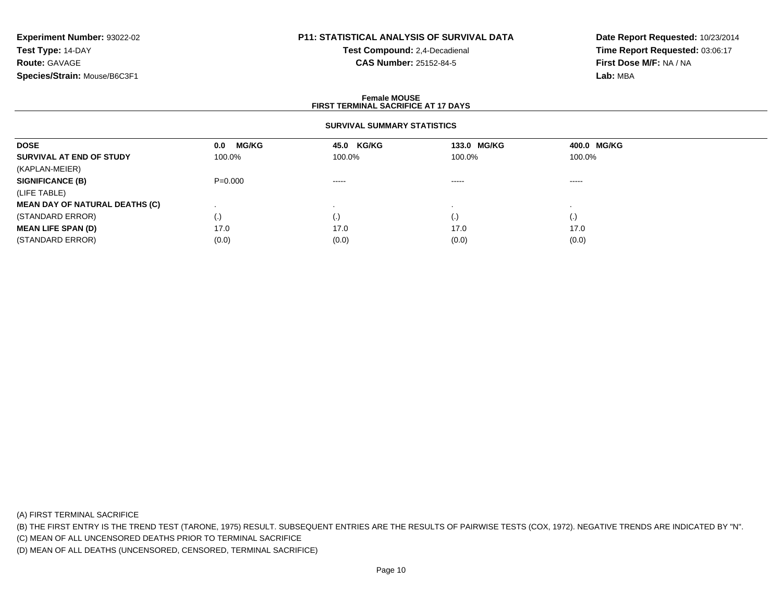# **P11: STATISTICAL ANALYSIS OF SURVIVAL DATA**

**Test Compound:** 2,4-Decadienal **CAS Number:** 25152-84-5

**Date Report Requested:** 10/23/2014**Time Report Requested:** 03:06:17**First Dose M/F:** NA / NA**Lab:** MBA

### **Female MOUSEFIRST TERMINAL SACRIFICE AT 17 DAYS**

### **SURVIVAL SUMMARY STATISTICS**

| <b>DOSE</b>                           | <b>MG/KG</b><br>0.0 | 45.0 KG/KG                                                                                                                                                                                                                                                                                                                                                                                                                                                                             | 133.0 MG/KG                                                                                                                                                                                                                                                                                                                                                                                                                                                                            | 400.0 MG/KG        |  |
|---------------------------------------|---------------------|----------------------------------------------------------------------------------------------------------------------------------------------------------------------------------------------------------------------------------------------------------------------------------------------------------------------------------------------------------------------------------------------------------------------------------------------------------------------------------------|----------------------------------------------------------------------------------------------------------------------------------------------------------------------------------------------------------------------------------------------------------------------------------------------------------------------------------------------------------------------------------------------------------------------------------------------------------------------------------------|--------------------|--|
| SURVIVAL AT END OF STUDY              | 100.0%              | 100.0%                                                                                                                                                                                                                                                                                                                                                                                                                                                                                 | 100.0%                                                                                                                                                                                                                                                                                                                                                                                                                                                                                 | 100.0%             |  |
| (KAPLAN-MEIER)                        |                     |                                                                                                                                                                                                                                                                                                                                                                                                                                                                                        |                                                                                                                                                                                                                                                                                                                                                                                                                                                                                        |                    |  |
| <b>SIGNIFICANCE (B)</b>               | $P = 0.000$         | $\begin{array}{cccccccccccccc} \multicolumn{2}{c}{} & \multicolumn{2}{c}{} & \multicolumn{2}{c}{} & \multicolumn{2}{c}{} & \multicolumn{2}{c}{} & \multicolumn{2}{c}{} & \multicolumn{2}{c}{} & \multicolumn{2}{c}{} & \multicolumn{2}{c}{} & \multicolumn{2}{c}{} & \multicolumn{2}{c}{} & \multicolumn{2}{c}{} & \multicolumn{2}{c}{} & \multicolumn{2}{c}{} & \multicolumn{2}{c}{} & \multicolumn{2}{c}{} & \multicolumn{2}{c}{} & \multicolumn{2}{c}{} & \multicolumn{2}{c}{} & \$ | $\begin{array}{cccccccccccccc} \multicolumn{2}{c}{} & \multicolumn{2}{c}{} & \multicolumn{2}{c}{} & \multicolumn{2}{c}{} & \multicolumn{2}{c}{} & \multicolumn{2}{c}{} & \multicolumn{2}{c}{} & \multicolumn{2}{c}{} & \multicolumn{2}{c}{} & \multicolumn{2}{c}{} & \multicolumn{2}{c}{} & \multicolumn{2}{c}{} & \multicolumn{2}{c}{} & \multicolumn{2}{c}{} & \multicolumn{2}{c}{} & \multicolumn{2}{c}{} & \multicolumn{2}{c}{} & \multicolumn{2}{c}{} & \multicolumn{2}{c}{} & \$ | -----              |  |
| (LIFE TABLE)                          |                     |                                                                                                                                                                                                                                                                                                                                                                                                                                                                                        |                                                                                                                                                                                                                                                                                                                                                                                                                                                                                        |                    |  |
| <b>MEAN DAY OF NATURAL DEATHS (C)</b> |                     |                                                                                                                                                                                                                                                                                                                                                                                                                                                                                        |                                                                                                                                                                                                                                                                                                                                                                                                                                                                                        |                    |  |
| (STANDARD ERROR)                      | (.)                 | (.)                                                                                                                                                                                                                                                                                                                                                                                                                                                                                    |                                                                                                                                                                                                                                                                                                                                                                                                                                                                                        | $\left( . \right)$ |  |
| <b>MEAN LIFE SPAN (D)</b>             | 17.0                | 17.0                                                                                                                                                                                                                                                                                                                                                                                                                                                                                   | 17.0                                                                                                                                                                                                                                                                                                                                                                                                                                                                                   | 17.0               |  |
| (STANDARD ERROR)                      | (0.0)               | (0.0)                                                                                                                                                                                                                                                                                                                                                                                                                                                                                  | (0.0)                                                                                                                                                                                                                                                                                                                                                                                                                                                                                  | (0.0)              |  |

(A) FIRST TERMINAL SACRIFICE

(B) THE FIRST ENTRY IS THE TREND TEST (TARONE, 1975) RESULT. SUBSEQUENT ENTRIES ARE THE RESULTS OF PAIRWISE TESTS (COX, 1972). NEGATIVE TRENDS ARE INDICATED BY "N".

(C) MEAN OF ALL UNCENSORED DEATHS PRIOR TO TERMINAL SACRIFICE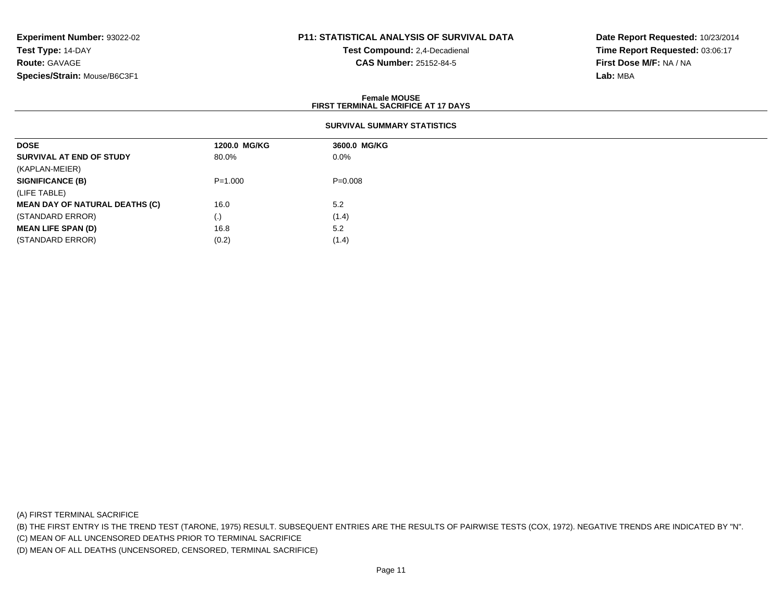## **P11: STATISTICAL ANALYSIS OF SURVIVAL DATA**

**Test Compound:** 2,4-Decadienal **CAS Number:** 25152-84-5

**Date Report Requested:** 10/23/2014**Time Report Requested:** 03:06:17**First Dose M/F:** NA / NA**Lab:** MBA

### **Female MOUSEFIRST TERMINAL SACRIFICE AT 17 DAYS**

| <b>DOSE</b>                           | 1200.0 MG/KG | 3600.0 MG/KG |
|---------------------------------------|--------------|--------------|
| SURVIVAL AT END OF STUDY              | 80.0%        | 0.0%         |
| (KAPLAN-MEIER)                        |              |              |
| <b>SIGNIFICANCE (B)</b>               | $P = 1.000$  | $P = 0.008$  |
| (LIFE TABLE)                          |              |              |
| <b>MEAN DAY OF NATURAL DEATHS (C)</b> | 16.0         | 5.2          |
| (STANDARD ERROR)                      | (.)          | (1.4)        |
| <b>MEAN LIFE SPAN (D)</b>             | 16.8         | 5.2          |
| (STANDARD ERROR)                      | (0.2)        | (1.4)        |

(A) FIRST TERMINAL SACRIFICE

(B) THE FIRST ENTRY IS THE TREND TEST (TARONE, 1975) RESULT. SUBSEQUENT ENTRIES ARE THE RESULTS OF PAIRWISE TESTS (COX, 1972). NEGATIVE TRENDS ARE INDICATED BY "N".

(C) MEAN OF ALL UNCENSORED DEATHS PRIOR TO TERMINAL SACRIFICE